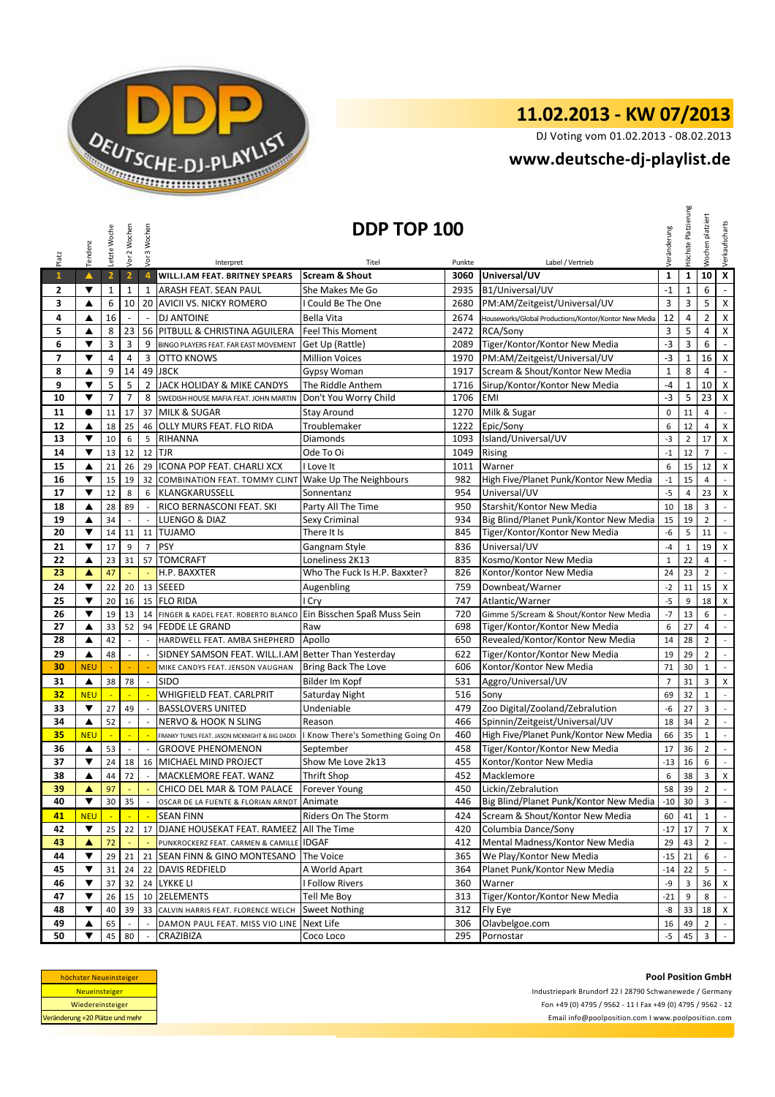

## **11.02.2013 - KW 07/2013**

DJ Voting vom 01.02.2013 - 08.02.2013

## **<www.deutsche-dj-playlist.de>**

|                          | Tendenz              | Letzte Woche            | Vor 2 Wochen             | Vor 3 Wochen             |                                                                          | DDP TOP 100                       |            |                                                              | Veränderung    | Höchste Platzierung | platziert<br>Wochen     | Verkaufscharts                             |
|--------------------------|----------------------|-------------------------|--------------------------|--------------------------|--------------------------------------------------------------------------|-----------------------------------|------------|--------------------------------------------------------------|----------------|---------------------|-------------------------|--------------------------------------------|
| Platz                    |                      |                         |                          |                          | Interpret                                                                | Titel                             | Punkte     | Label / Vertrieb                                             |                |                     |                         |                                            |
| $\mathbf{1}$             | $\blacktriangle$     | $\overline{\mathbf{2}}$ | $\overline{2}$           | $\overline{4}$           | WILL.I.AM FEAT. BRITNEY SPEARS                                           | <b>Scream &amp; Shout</b>         | 3060       | Universal/UV                                                 | $\mathbf{1}$   | $\mathbf{1}$        | 10                      | $\overline{\mathbf{x}}$                    |
| 2                        | ▼                    | $\mathbf{1}$            | 1                        | $\mathbf{1}$             | ARASH FEAT. SEAN PAUL                                                    | She Makes Me Go                   | 2935       | B1/Universal/UV                                              | $-1$           | $\mathbf{1}$        | 6                       | $\blacksquare$                             |
| 3                        | ▲                    | 6                       | 10                       |                          | 20 AVICII VS. NICKY ROMERO                                               | I Could Be The One                | 2680       | PM:AM/Zeitgeist/Universal/UV                                 | 3              | 3                   | 5                       | $\pmb{\times}$                             |
| 4                        | ▲                    | 16                      | $\overline{\phantom{a}}$ | $\sim$                   | <b>DJ ANTOINE</b>                                                        | <b>Bella Vita</b>                 | 2674       | Houseworks/Global Productions/Kontor/Kontor New Media        | 12             | 4                   | $\overline{2}$          | $\mathsf X$                                |
| 5                        | ▲                    | 8                       | 23                       |                          | 56 PITBULL & CHRISTINA AGUILERA                                          | <b>Feel This Moment</b>           | 2472       | RCA/Sony                                                     | $\overline{3}$ | 5                   | $\overline{4}$          | $\mathsf X$                                |
| 6                        | ▼                    | 3                       | $\overline{3}$           | 9                        | BINGO PLAYERS FEAT. FAR EAST MOVEMENT                                    | Get Up (Rattle)                   | 2089       | Tiger/Kontor/Kontor New Media                                | $-3$           | 3                   | 6                       | $\omega$                                   |
| $\overline{\phantom{a}}$ | ▼                    | 4                       | $\overline{4}$           | 3                        | <b>OTTO KNOWS</b>                                                        | <b>Million Voices</b>             | 1970       | PM:AM/Zeitgeist/Universal/UV                                 | $-3$           | $\mathbf{1}$        | 16                      | $\boldsymbol{\mathsf{X}}$                  |
| 8                        | ▲                    | 9                       | 14                       | 49                       | <b>J8CK</b>                                                              | Gypsy Woman                       | 1917       | Scream & Shout/Kontor New Media                              | $\mathbf{1}$   | 8                   | $\overline{4}$          | $\omega$                                   |
| 9                        | ▼                    | 5                       | 5                        | $\overline{2}$           | JACK HOLIDAY & MIKE CANDYS                                               | The Riddle Anthem                 | 1716       | Sirup/Kontor/Kontor New Media                                | $-4$           | $\mathbf{1}$        | 10                      | $\pmb{\chi}$                               |
| 10                       | ▼                    | $\overline{7}$          | $\overline{7}$           | 8                        | SWEDISH HOUSE MAFIA FEAT. JOHN MARTIN                                    | Don't You Worry Child             | 1706       | <b>EMI</b>                                                   | $-3$           | 5                   | 23                      | $\mathsf{X}$                               |
| 11                       | $\bullet$            | 11                      | 17                       | 37                       | <b>MILK &amp; SUGAR</b>                                                  | <b>Stay Around</b>                | 1270       | Milk & Sugar                                                 | $\mathbf 0$    | 11                  | $\overline{4}$          | $\sim$                                     |
| 12                       | ▲                    | 18                      | 25                       | 46                       | <b>OLLY MURS FEAT. FLO RIDA</b>                                          | Troublemaker                      | 1222       | Epic/Sony                                                    | 6              | 12                  | 4                       | X                                          |
| 13                       | ▼                    | 10                      | 6                        | 5                        | RIHANNA                                                                  | <b>Diamonds</b>                   | 1093       | Island/Universal/UV                                          | $-3$           | $\overline{2}$      | 17                      | X                                          |
| 14                       | ▼                    | 13                      | 12                       | 12                       | <b>TJR</b>                                                               | Ode To Oi                         | 1049       | <b>Rising</b>                                                | $-1$           | 12                  | $\overline{7}$          | $\mathbb{Z}^2$                             |
| 15                       | ▲                    | 21                      | 26                       | 29                       | ICONA POP FEAT. CHARLI XCX                                               | I Love It                         | 1011       | Warner                                                       | 6              | 15                  | 12                      | X                                          |
| 16                       | ▼                    | 15                      | 19                       |                          | 32 COMBINATION FEAT. TOMMY CLINT Wake Up The Neighbours                  |                                   | 982        | High Five/Planet Punk/Kontor New Media                       | $^{\rm -1}$    | 15                  | $\overline{\mathbf{4}}$ | $\mathcal{L}^{\mathcal{L}}$                |
| 17                       | $\blacktriangledown$ | 12                      | 8                        | 6                        | KLANGKARUSSELL                                                           | Sonnentanz                        | 954        | Universal/UV                                                 | $-5$           | 4                   | 23                      | $\pmb{\mathsf{X}}$                         |
| 18                       | ▲                    | 28                      | 89                       | $\sim$                   | RICO BERNASCONI FEAT. SKI                                                | Party All The Time                | 950        | Starshit/Kontor New Media                                    | 10             | 18                  | 3                       | $\mathbb{L}$                               |
| 19                       | ▲                    | 34                      |                          |                          | LUENGO & DIAZ                                                            | Sexy Criminal                     | 934        | Big Blind/Planet Punk/Kontor New Media                       | 15             | 19                  | $\overline{2}$          | $\sim$                                     |
| 20                       | ▼                    | 14                      | 11                       | 11                       | <b>TUJAMO</b>                                                            | There It Is                       | 845        | Tiger/Kontor/Kontor New Media                                | $-6$           | 5                   | 11                      | $\mathcal{L}_{\mathcal{L}}$                |
| 21                       | ▼                    | 17                      | 9                        | $\overline{7}$           | PSY                                                                      | Gangnam Style                     | 836        | Universal/UV                                                 | $-4$           | $\mathbf 1$         | 19                      | $\mathsf{X}$                               |
| 22                       | ▲                    | 23                      | 31                       | 57                       | <b>TOMCRAFT</b>                                                          | Loneliness 2K13                   | 835        | Kosmo/Kontor New Media                                       | $\mathbf{1}$   | 22                  | $\overline{4}$          | $\sim$                                     |
| 23                       | ▲                    | 47                      |                          | $\Box$                   | H.P. BAXXTER                                                             | Who The Fuck Is H.P. Baxxter?     | 826        | Kontor/Kontor New Media                                      | 24             | 23                  | $\overline{2}$          | $\mathbb{Z}^2$                             |
| 24                       | ▼                    | 22                      | 20                       | 13                       | <b>SEEED</b>                                                             | Augenbling                        | 759        | Downbeat/Warner                                              | $-2$           | 11                  | 15                      | $\pmb{\mathsf{X}}$                         |
| 25                       | ▼                    | 20                      | 16                       |                          | 15 FLO RIDA                                                              | I Cry                             | 747        | Atlantic/Warner                                              | $-5$           | 9                   | 18                      | $\boldsymbol{\mathsf{X}}$                  |
| 26                       | $\blacktriangledown$ | 19                      | 13                       | 14                       | FINGER & KADEL FEAT. ROBERTO BLANCO                                      | Ein Bisschen Spaß Muss Sein       | 720        | Gimme 5/Scream & Shout/Kontor New Media                      | $-7$           | 13                  | 6                       | $\mathbb{L}$                               |
| 27                       | ▲                    | 33                      | 52                       | 94                       | <b>FEDDE LE GRAND</b>                                                    | Raw                               | 698        | Tiger/Kontor/Kontor New Media                                | 6              | 27                  | $\overline{4}$          | $\mathcal{L}_{\mathcal{A}}$                |
| 28                       | ▲                    | 42                      |                          |                          | HARDWELL FEAT. AMBA SHEPHERD                                             | Apollo                            | 650        | Revealed/Kontor/Kontor New Media                             | 14             | 28                  | $\overline{2}$          | $\sim$                                     |
| 29                       | ▲                    | 48                      | $\overline{a}$           | $\sim$                   | SIDNEY SAMSON FEAT. WILL.I.AM Better Than Yesterday                      |                                   | 622        | Tiger/Kontor/Kontor New Media                                | 19             | 29                  | $\overline{2}$          | $\sim$                                     |
| 30                       | <b>NEU</b>           |                         |                          |                          | MIKE CANDYS FEAT. JENSON VAUGHAN                                         | Bring Back The Love               | 606        | Kontor/Kontor New Media                                      | 71             | 30                  | $\mathbf{1}$            | $\mathbb{Z}^2$                             |
| 31                       | ▲                    | 38                      | 78                       | $\overline{\phantom{a}}$ | <b>SIDO</b>                                                              | Bilder Im Kopf                    | 531        | Aggro/Universal/UV                                           | $\overline{7}$ | 31                  | 3                       | X                                          |
| 32                       | <b>NEU</b>           |                         | ч.                       |                          | WHIGFIELD FEAT. CARLPRIT                                                 | Saturday Night                    | 516        | Sony                                                         | 69             | 32                  | $\mathbf{1}$            | $\mathbb{Z}^2$                             |
| 33                       | $\blacktriangledown$ | 27                      | 49                       |                          | <b>BASSLOVERS UNITED</b>                                                 | Undeniable                        | 479        | Zoo Digital/Zooland/Zebralution                              | -6             | 27                  | 3                       | $\sim$                                     |
| 34                       | ▲                    | 52                      | $\overline{a}$           | $\overline{\phantom{a}}$ | <b>NERVO &amp; HOOK N SLING</b>                                          | Reason                            | 466        | Spinnin/Zeitgeist/Universal/UV                               | 18             | 34                  | $\overline{2}$          | $\sim$                                     |
| 35                       | <b>NEU</b>           | Ξ                       | $\blacksquare$           | ÷,                       | FRANKY TUNES FEAT, JASON MCKNIGHT & BIG DADDI                            | I Know There's Something Going On | 460        | High Five/Planet Punk/Kontor New Media                       | 66             | 35                  | $1\,$                   | $\mathbb{Z}^2$                             |
| 36                       | $\blacktriangle$     | 53                      | $\mathbf{r}$             | $\sim$                   | <b>GROOVE PHENOMENON</b>                                                 | September                         | 458        | Tiger/Kontor/Kontor New Media                                | 17             | 36                  | $\overline{2}$          | $\mathbb{L}$                               |
| 37                       | ▼                    | 24                      | 18                       |                          | 16 MICHAEL MIND PROJECT                                                  | Show Me Love 2k13                 | 455        | Kontor/Kontor New Media                                      | $-13$          | 16                  | 6                       | $\mathbb{L}$                               |
| 38                       | ▲                    | 44                      | 72                       | $\sim$                   | MACKLEMORE FEAT. WANZ                                                    | <b>Thrift Shop</b>                | 452        | Macklemore                                                   | 6              | 38                  | 3                       | X                                          |
| 39<br>40                 | ▲<br>▼               | 97<br>30                | 35                       |                          | CHICO DEL MAR & TOM PALACE<br>OSCAR DE LA FUENTE & FLORIAN ARNDT Animate | <b>Forever Young</b>              | 450<br>446 | Lickin/Zebralution<br>Big Blind/Planet Punk/Kontor New Media | 58<br>$-10$    | 39<br>30            | $\overline{2}$<br>3     | $\overline{\phantom{a}}$<br>$\mathbb{Z}^2$ |
|                          | <b>NEU</b>           |                         |                          |                          | <b>SEAN FINN</b>                                                         | Riders On The Storm               | 424        | Scream & Shout/Kontor New Media                              | 60             | 41                  |                         | $\sim$                                     |
| 41<br>42                 | ▼                    | 25                      | 22                       | 17                       | DJANE HOUSEKAT FEAT. RAMEEZ All The Time                                 |                                   | 420        | Columbia Dance/Sony                                          | $-17$          | 17                  | $\mathbf{1}$<br>7       | $\mathsf{x}$                               |
| 43                       | ▲                    | 72                      |                          |                          | PUNKROCKERZ FEAT. CARMEN & CAMILLE IDGAF                                 |                                   | 412        | Mental Madness/Kontor New Media                              | 29             | 43                  | $\overline{2}$          | $\sim$                                     |
| 44                       | ▼                    | 29                      | 21                       | 21                       | SEAN FINN & GINO MONTESANO The Voice                                     |                                   | 365        | We Play/Kontor New Media                                     | $-15$          | 21                  | 6                       |                                            |
| 45                       | ▼                    | 31                      | 24                       | 22                       |                                                                          | A World Apart                     | 364        | Planet Punk/Kontor New Media                                 | $-14$          | 22                  | 5                       | $\sim$                                     |
| 46                       | ▼                    | 37                      | 32                       |                          | <b>DAVIS REDFIELD</b><br>24 LYKKE LI                                     | I Follow Rivers                   | 360        | Warner                                                       | $-9$           | 3                   | 36                      | X                                          |
| 47                       | $\blacktriangledown$ | 26                      | 15                       | 10                       | 2ELEMENTS                                                                | Tell Me Boy                       | 313        | Tiger/Kontor/Kontor New Media                                | $-21$          | 9                   | 8                       |                                            |
| 48                       | ▼                    | 40                      | 39                       | 33                       | CALVIN HARRIS FEAT. FLORENCE WELCH                                       | <b>Sweet Nothing</b>              | 312        | Fly Eye                                                      | -8             | 33                  | 18 X                    |                                            |
| 49                       | ▲                    | 65                      |                          |                          | DAMON PAUL FEAT. MISS VIO LINE                                           | Next Life                         | 306        | Olavbelgoe.com                                               | 16             | 49                  | $\overline{2}$          | $\sim$                                     |
| 50                       | ▼                    | 45                      | 80                       |                          | CRAZIBIZA                                                                | Coco Loco                         | 295        | Pornostar                                                    | $-5$           | 45                  | 3                       | $\sim$                                     |
|                          |                      |                         |                          |                          |                                                                          |                                   |            |                                                              |                |                     |                         |                                            |

| höchster Neueinsteiger          |
|---------------------------------|
| <b>Neueinsteiger</b>            |
| Wiedereinsteiger                |
| Veränderung +20 Plätze und mehr |

**Pool Position GmbH** Industriepark Brundorf 22 I 28790 Schwanewede / Germany Fon +49 (0) 4795 / 9562 - 11 I Fax +49 (0) 4795 / 9562 - 12 <Email info@poolposition.com I www.poolposition.com>